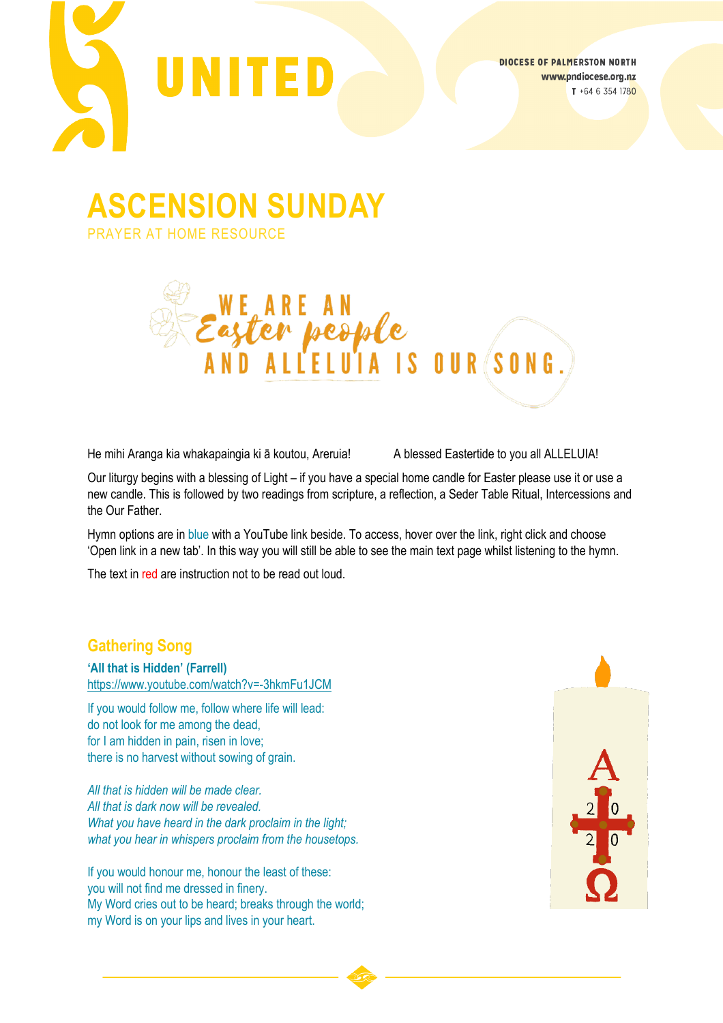

**ASCENSION SUNDAY**

PRAYER AT HOME RESOURCE



He mihi Aranga kia whakapaingia ki ā koutou, Areruia! A blessed Eastertide to you all ALLELUIA!

Our liturgy begins with a blessing of Light – if you have a special home candle for Easter please use it or use a new candle. This is followed by two readings from scripture, a reflection, a Seder Table Ritual, Intercessions and the Our Father.

Hymn options are in blue with a YouTube link beside. To access, hover over the link, right click and choose 'Open link in a new tab'. In this way you will still be able to see the main text page whilst listening to the hymn.

The text in red are instruction not to be read out loud.

## **Gathering Song**

**'All that is Hidden' (Farrell)** [https://www.youtube.com/watch?v=](https://www.youtube.com/watch?v=-3hkmFu1JCM)-3hkmFu1JCM

If you would follow me, follow where life will lead: do not look for me among the dead, for I am hidden in pain, risen in love; there is no harvest without sowing of grain.

*All that is hidden will be made clear. All that is dark now will be revealed. What you have heard in the dark proclaim in the light; what you hear in whispers proclaim from the housetops.*

If you would honour me, honour the least of these: you will not find me dressed in finery. My Word cries out to be heard; breaks through the world; my Word is on your lips and lives in your heart.

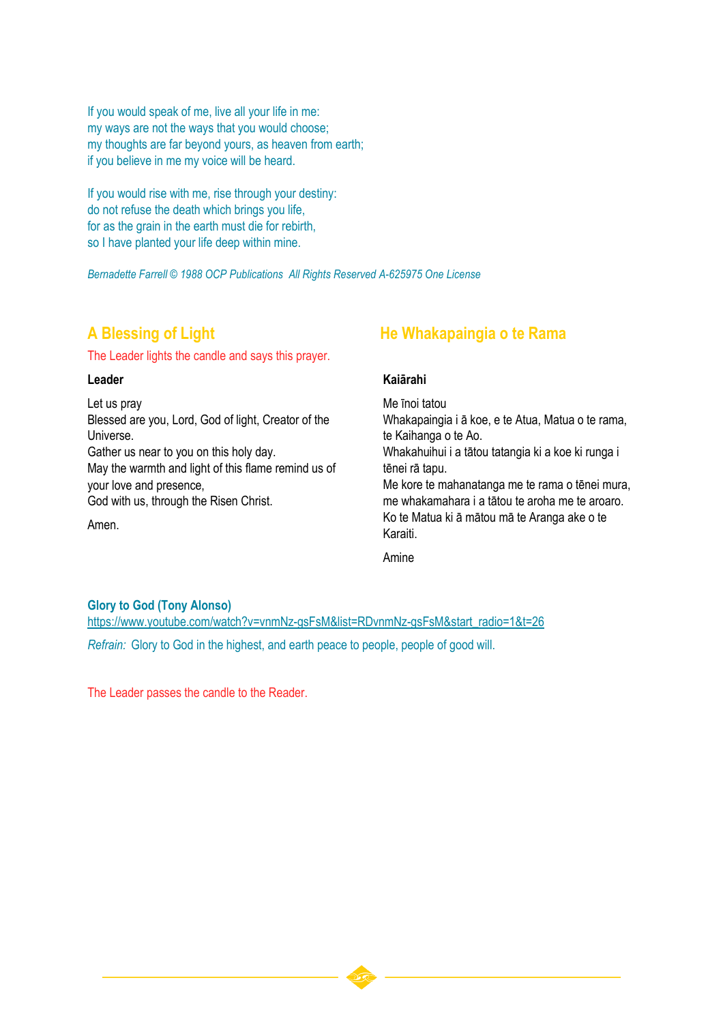If you would speak of me, live all your life in me: my ways are not the ways that you would choose; my thoughts are far beyond yours, as heaven from earth; if you believe in me my voice will be heard.

If you would rise with me, rise through your destiny: do not refuse the death which brings you life, for as the grain in the earth must die for rebirth, so I have planted your life deep within mine.

*Bernadette Farrell © 1988 OCP Publications All Rights Reserved A-625975 One License*

The Leader lights the candle and says this prayer.

#### **Leader**

Let us pray Blessed are you, Lord, God of light, Creator of the Universe. Gather us near to you on this holy day. May the warmth and light of this flame remind us of your love and presence, God with us, through the Risen Christ.

#### Amen.

## **A Blessing of Light He Whakapaingia o te Rama**

#### **Kaiārahi**

Me īnoi tatou Whakapaingia i ā koe, e te Atua, Matua o te rama, te Kaihanga o te Ao.

Whakahuihui i a tātou tatangia ki a koe ki runga i tēnei rā tapu.

Me kore te mahanatanga me te rama o tēnei mura, me whakamahara i a tātou te aroha me te aroaro. Ko te Matua ki ā mātou mā te Aranga ake o te Karaiti.

Amine

#### **Glory to God (Tony Alonso)**

[https://www.youtube.com/watch?v=vnmNz](https://www.youtube.com/watch?v=vnmNz-gsFsM&list=RDvnmNz-gsFsM&start_radio=1&t=26)-gsFsM&list=RDvnmNz-gsFsM&start\_radio=1&t=26 *Refrain:* Glory to God in the highest, and earth peace to people, people of good will.

The Leader passes the candle to the Reader.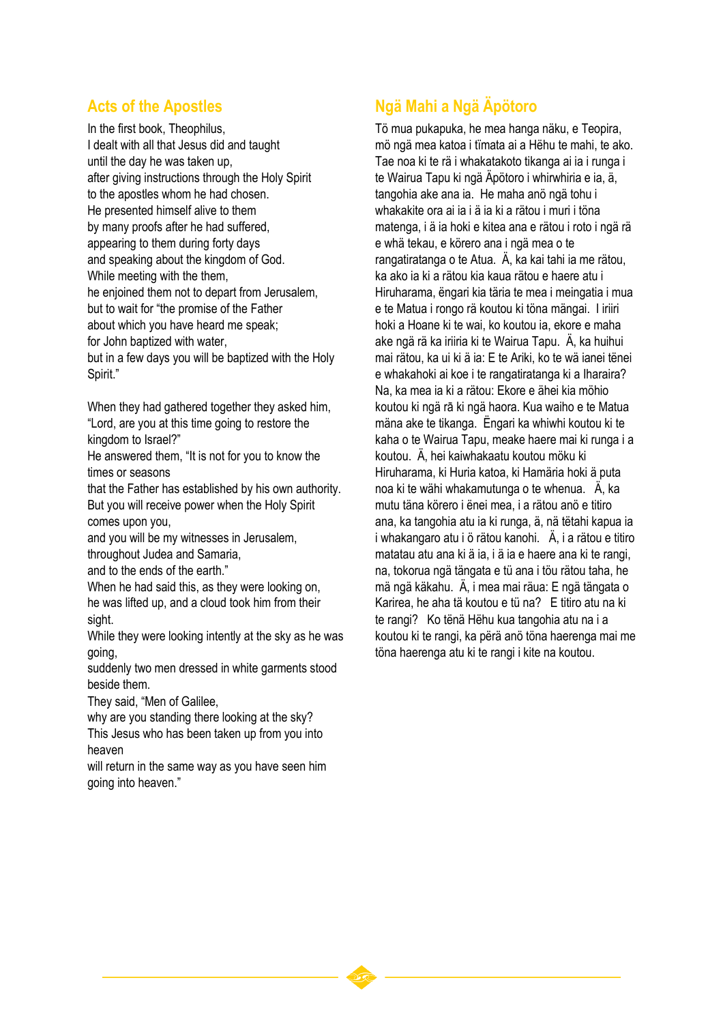## **Acts of the Apostles**

In the first book, Theophilus, I dealt with all that Jesus did and taught until the day he was taken up, after giving instructions through the Holy Spirit to the apostles whom he had chosen. He presented himself alive to them by many proofs after he had suffered, appearing to them during forty days and speaking about the kingdom of God. While meeting with the them, he enjoined them not to depart from Jerusalem, but to wait for "the promise of the Father about which you have heard me speak; for John baptized with water, but in a few days you will be baptized with the Holy Spirit."

When they had gathered together they asked him, "Lord, are you at this time going to restore the kingdom to Israel?"

He answered them, "It is not for you to know the times or seasons

that the Father has established by his own authority. But you will receive power when the Holy Spirit comes upon you,

and you will be my witnesses in Jerusalem, throughout Judea and Samaria,

and to the ends of the earth."

When he had said this, as they were looking on, he was lifted up, and a cloud took him from their sight.

While they were looking intently at the sky as he was going,

suddenly two men dressed in white garments stood beside them.

They said, "Men of Galilee,

why are you standing there looking at the sky? This Jesus who has been taken up from you into heaven

will return in the same way as you have seen him going into heaven."

# **Ngä Mahi a Ngä Äpötoro**

Tö mua pukapuka, he mea hanga näku, e Teopira, mö ngä mea katoa i tïmata ai a Hëhu te mahi, te ako. Tae noa ki te rä i whakatakoto tikanga ai ia i runga i te Wairua Tapu ki ngä Äpötoro i whirwhiria e ia, ä, tangohia ake ana ia. He maha anö ngä tohu i whakakite ora ai ia i ä ia ki a rätou i muri i töna matenga, i ä ia hoki e kitea ana e rätou i roto i ngä rä e whä tekau, e körero ana i ngä mea o te rangatiratanga o te Atua. Ä, ka kai tahi ia me rätou, ka ako ia ki a rätou kia kaua rätou e haere atu i Hiruharama, ëngari kia täria te mea i meingatia i mua e te Matua i rongo rä koutou ki töna mängai. I iriiri hoki a Hoane ki te wai, ko koutou ia, ekore e maha ake ngä rä ka iriiria ki te Wairua Tapu. Ä, ka huihui mai rätou, ka ui ki ä ia: E te Ariki, ko te wä ianei tënei e whakahoki ai koe i te rangatiratanga ki a Iharaira? Na, ka mea ia ki a rätou: Ekore e ähei kia möhio koutou ki ngä rā ki ngä haora. Kua waiho e te Matua mäna ake te tikanga. Ëngari ka whiwhi koutou ki te kaha o te Wairua Tapu, meake haere mai ki runga i a koutou. Ä, hei kaiwhakaatu koutou möku ki Hiruharama, ki Huria katoa, ki Hamäria hoki ä puta noa ki te wähi whakamutunga o te whenua. Ä, ka mutu täna körero i ënei mea, i a rätou anö e titiro ana, ka tangohia atu ia ki runga, ä, nä tëtahi kapua ia i whakangaro atu i ö rätou kanohi. Ä, i a rätou e titiro matatau atu ana ki ä ia, i ä ia e haere ana ki te rangi, na, tokorua ngä tängata e tü ana i töu rätou taha, he mä ngä käkahu. Ä, i mea mai räua: E ngä tängata o Karirea, he aha tä koutou e tü na? E titiro atu na ki te rangi? Ko tënä Hëhu kua tangohia atu na i a koutou ki te rangi, ka përä anö töna haerenga mai me töna haerenga atu ki te rangi i kite na koutou.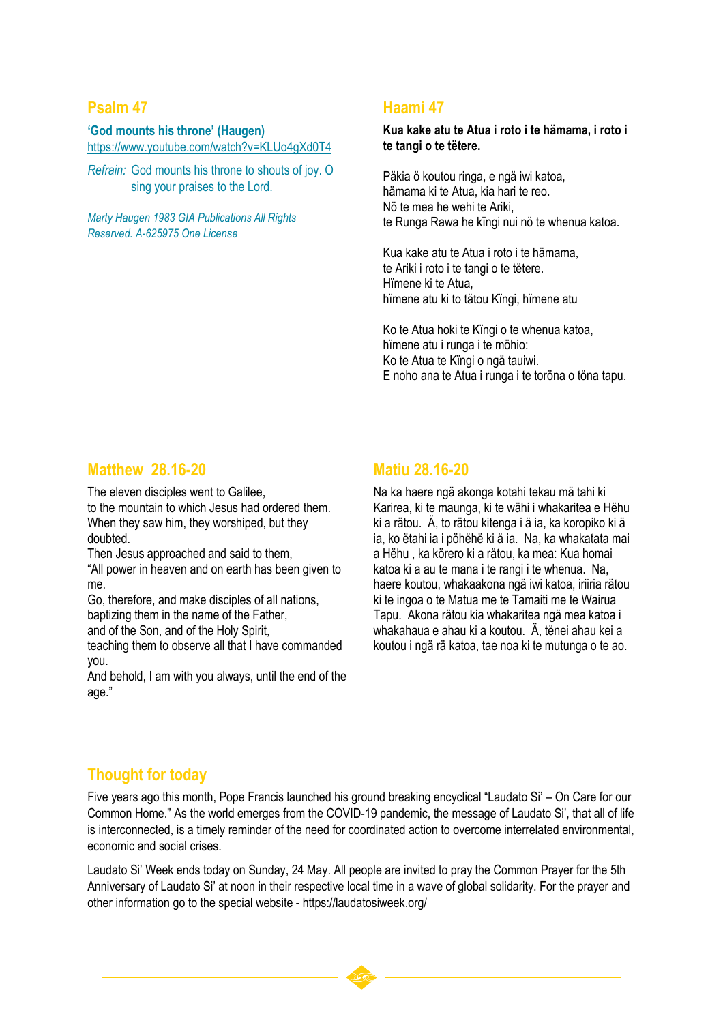## **Psalm 47**

**'God mounts his throne' (Haugen)** <https://www.youtube.com/watch?v=KLUo4gXd0T4>

*Refrain:* God mounts his throne to shouts of joy. O sing your praises to the Lord.

*Marty Haugen 1983 GIA Publications All Rights Reserved. A-625975 One License*

## **Haami 47**

**Kua kake atu te Atua i roto i te hämama, i roto i te tangi o te tëtere.**

Päkia ö koutou ringa, e ngä iwi katoa, hämama ki te Atua, kia hari te reo. Nö te mea he wehi te Ariki, te Runga Rawa he kïngi nui nö te whenua katoa.

Kua kake atu te Atua i roto i te hämama, te Ariki i roto i te tangi o te tëtere. Hïmene ki te Atua, hïmene atu ki to tätou Kïngi, hïmene atu

Ko te Atua hoki te Kïngi o te whenua katoa, hïmene atu i runga i te möhio: Ko te Atua te Kïngi o ngä tauiwi. E noho ana te Atua i runga i te toröna o töna tapu.

## **Matthew 28.16-20**

The eleven disciples went to Galilee,

to the mountain to which Jesus had ordered them. When they saw him, they worshiped, but they doubted.

Then Jesus approached and said to them,

"All power in heaven and on earth has been given to me.

Go, therefore, and make disciples of all nations, baptizing them in the name of the Father,

and of the Son, and of the Holy Spirit,

teaching them to observe all that I have commanded you.

And behold, I am with you always, until the end of the age."

## **Matiu 28.16-20**

Na ka haere ngä akonga kotahi tekau mä tahi ki Karirea, ki te maunga, ki te wähi i whakaritea e Hëhu ki a rätou. Ä, to rätou kitenga i ä ia, ka koropiko ki ä ia, ko ëtahi ia i pöhëhë ki ä ia. Na, ka whakatata mai a Hëhu , ka körero ki a rätou, ka mea: Kua homai katoa ki a au te mana i te rangi i te whenua. Na, haere koutou, whakaakona ngä iwi katoa, iriiria rätou ki te ingoa o te Matua me te Tamaiti me te Wairua Tapu. Akona rätou kia whakaritea ngä mea katoa i whakahaua e ahau ki a koutou. Ä, tënei ahau kei a koutou i ngä rä katoa, tae noa ki te mutunga o te ao.

## **Thought for today**

Five years ago this month, Pope Francis launched his ground breaking encyclical "Laudato Si' – On Care for our Common Home." As the world emerges from the COVID-19 pandemic, the message of Laudato Si', that all of life is interconnected, is a timely reminder of the need for coordinated action to overcome interrelated environmental, economic and social crises.

Laudato Si' Week ends today on Sunday, 24 May. All people are invited to pray the Common Prayer for the 5th Anniversary of Laudato Si' at noon in their respective local time in a wave of global solidarity. For the prayer and other information go to the special website - https://laudatosiweek.org/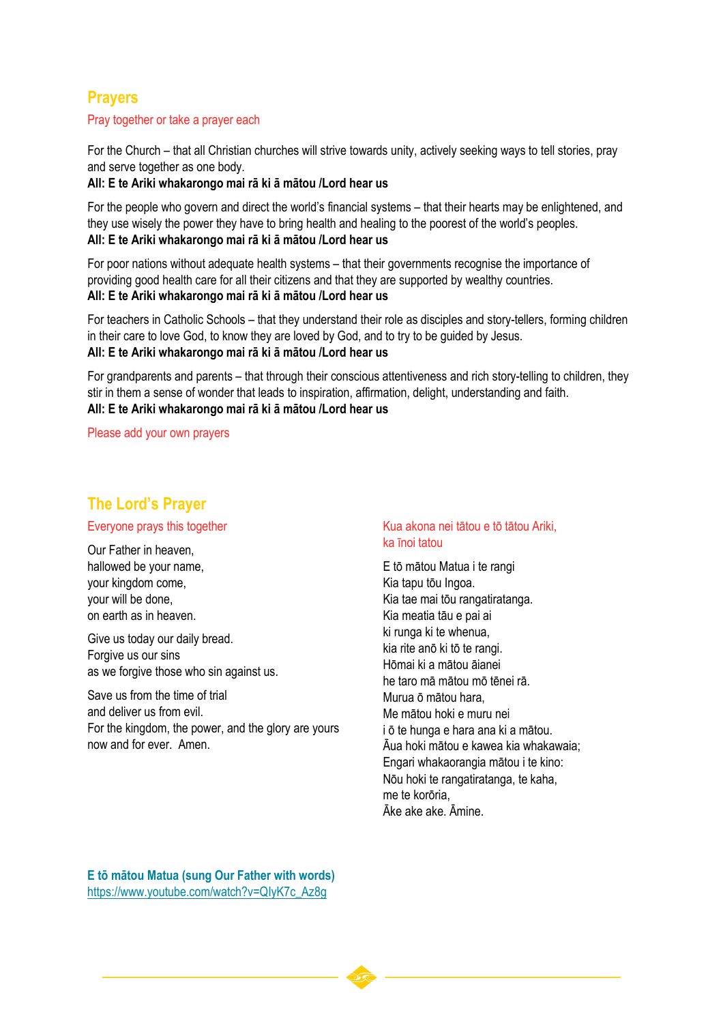## **Prayers**

#### Pray together or take a prayer each

For the Church – that all Christian churches will strive towards unity, actively seeking ways to tell stories, pray and serve together as one body.

#### **All: E te Ariki whakarongo mai rā ki ā mātou /Lord hear us**

For the people who govern and direct the world's financial systems – that their hearts may be enlightened, and they use wisely the power they have to bring health and healing to the poorest of the world's peoples. **All: E te Ariki whakarongo mai rā ki ā mātou /Lord hear us**

For poor nations without adequate health systems – that their governments recognise the importance of providing good health care for all their citizens and that they are supported by wealthy countries. **All: E te Ariki whakarongo mai rā ki ā mātou /Lord hear us**

For teachers in Catholic Schools – that they understand their role as disciples and story-tellers, forming children in their care to love God, to know they are loved by God, and to try to be guided by Jesus. **All: E te Ariki whakarongo mai rā ki ā mātou /Lord hear us**

For grandparents and parents – that through their conscious attentiveness and rich story-telling to children, they stir in them a sense of wonder that leads to inspiration, affirmation, delight, understanding and faith. **All: E te Ariki whakarongo mai rā ki ā mātou /Lord hear us**

Please add your own prayers

## **The Lord's Prayer**

#### Everyone prays this together

Our Father in heaven, hallowed be your name, your kingdom come, your will be done, on earth as in heaven.

Give us today our daily bread. Forgive us our sins as we forgive those who sin against us.

Save us from the time of trial and deliver us from evil. For the kingdom, the power, and the glory are yours now and for ever. Amen.

#### Kua akona nei tātou e tō tātou Ariki, ka īnoi tatou

E tō mātou Matua i te rangi Kia tapu tōu Ingoa. Kia tae mai tōu rangatiratanga. Kia meatia tāu e pai ai ki runga ki te whenua, kia rite anō ki tō te rangi. Hōmai ki a mātou āianei he taro mā mātou mō tēnei rā. Murua ō mātou hara, Me mātou hoki e muru nei i ō te hunga e hara ana ki a mātou. Āua hoki mātou e kawea kia whakawaia; Engari whakaorangia mātou i te kino: Nōu hoki te rangatiratanga, te kaha, me te korōria, Āke ake ake. Āmine.

**E tō mātou Matua (sung Our Father with words)** [https://www.youtube.com/watch?v=QIyK7c\\_Az8g](https://www.youtube.com/watch?v=QIyK7c_Az8g)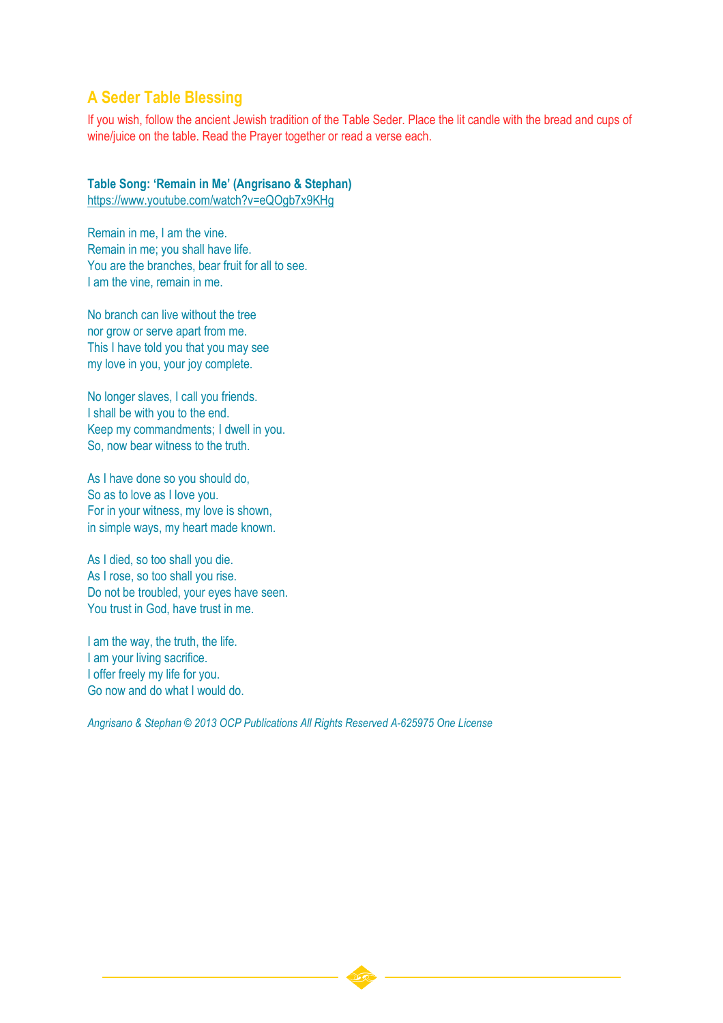## **A Seder Table Blessing**

If you wish, follow the ancient Jewish tradition of the Table Seder. Place the lit candle with the bread and cups of wine/juice on the table. Read the Prayer together or read a verse each.

## **Table Song: 'Remain in Me' (Angrisano & Stephan)**

<https://www.youtube.com/watch?v=eQOgb7x9KHg>

Remain in me, I am the vine. Remain in me; you shall have life. You are the branches, bear fruit for all to see. I am the vine, remain in me.

No branch can live without the tree nor grow or serve apart from me. This I have told you that you may see my love in you, your joy complete.

No longer slaves, I call you friends. I shall be with you to the end. Keep my commandments; I dwell in you. So, now bear witness to the truth.

As I have done so you should do, So as to love as I love you. For in your witness, my love is shown, in simple ways, my heart made known.

As I died, so too shall you die. As I rose, so too shall you rise. Do not be troubled, your eyes have seen. You trust in God, have trust in me.

I am the way, the truth, the life. I am your living sacrifice. I offer freely my life for you. Go now and do what I would do.

*Angrisano & Stephan © 2013 OCP Publications All Rights Reserved A-625975 One License*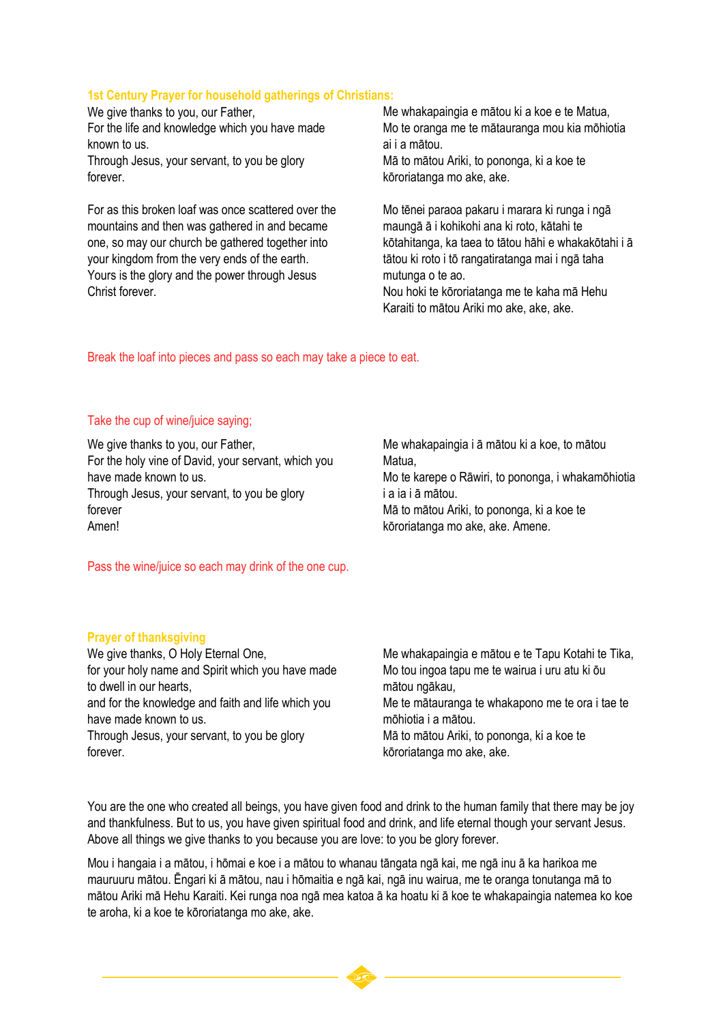#### **1st Century Prayer for household gatherings of Christians:**

We give thanks to you, our Father, For the life and knowledge which you have made known to us. Through Jesus, your servant, to you be glory forever.

For as this broken loaf was once scattered over the mountains and then was gathered in and became one, so may our church be gathered together into your kingdom from the very ends of the earth. Yours is the glory and the power through Jesus Christ forever.

Me whakapaingia e mātou ki a koe e te Matua, Mo te oranga me te mātauranga mou kia mōhiotia ai i a mātou. Mā to mātou Ariki, to pononga, ki a koe te kōroriatanga mo ake, ake.

Mo tēnei paraoa pakaru i marara ki runga i ngā maungā ā i kohikohi ana ki roto, kātahi te kōtahitanga, ka taea to tātou hāhi e whakakōtahi i ā tātou ki roto i tō rangatiratanga mai i ngā taha mutunga o te ao. Nou hoki te kōroriatanga me te kaha mā Hehu

Karaiti to mātou Ariki mo ake, ake, ake.

Break the loaf into pieces and pass so each may take a piece to eat.

#### Take the cup of wine/juice saying;

We give thanks to you, our Father, For the holy vine of David, your servant, which you have made known to us. Through Jesus, your servant, to you be glory forever Amen!

Me whakapaingia i ā mātou ki a koe, to mātou Matua, Mo te karepe o Rāwiri, to pononga, i whakamōhiotia

i a ia i ā mātou. Mā to mātou Ariki, to pononga, ki a koe te kōroriatanga mo ake, ake. Amene.

Pass the wine/juice so each may drink of the one cup.

#### **Prayer of thanksgiving**

We give thanks, O Holy Eternal One, for your holy name and Spirit which you have made to dwell in our hearts, and for the knowledge and faith and life which you have made known to us. Through Jesus, your servant, to you be glory forever.

Me whakapaingia e mātou e te Tapu Kotahi te Tika, Mo tou ingoa tapu me te wairua i uru atu ki ōu mātou ngākau, Me te mātauranga te whakapono me te ora i tae te mōhiotia i a mātou. Mā to mātou Ariki, to pononga, ki a koe te kōroriatanga mo ake, ake.

You are the one who created all beings, you have given food and drink to the human family that there may be joy and thankfulness. But to us, you have given spiritual food and drink, and life eternal though your servant Jesus. Above all things we give thanks to you because you are love: to you be glory forever.

Mou i hangaia i a mātou, i hōmai e koe i a mātou to whanau tāngata ngā kai, me ngā inu ā ka harikoa me mauruuru mātou. Ēngari ki ā mātou, nau i hōmaitia e ngā kai, ngā inu wairua, me te oranga tonutanga mā to mātou Ariki mā Hehu Karaiti. Kei runga noa ngā mea katoa ā ka hoatu ki ā koe te whakapaingia natemea ko koe te aroha, ki a koe te kōroriatanga mo ake, ake.